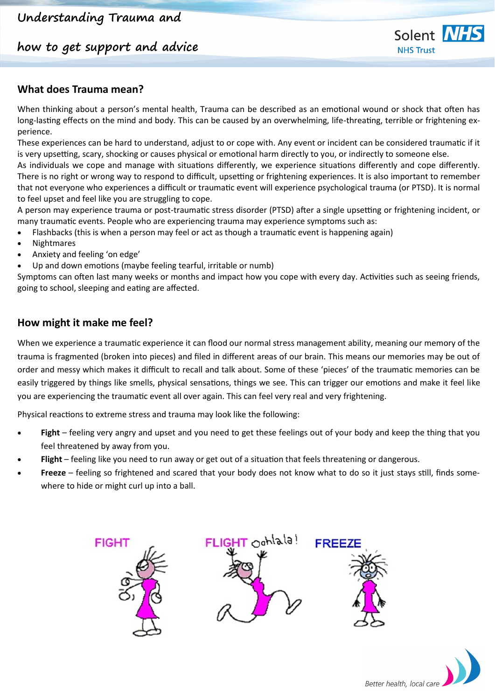**how to get support and advice**



#### **What does Trauma mean?**

When thinking about a person's mental health, Trauma can be described as an emotional wound or shock that often has long-lasting effects on the mind and body. This can be caused by an overwhelming, life-threating, terrible or frightening experience.

These experiences can be hard to understand, adjust to or cope with. Any event or incident can be considered traumatic if it is very upsetting, scary, shocking or causes physical or emotional harm directly to you, or indirectly to someone else.

As individuals we cope and manage with situations differently, we experience situations differently and cope differently. There is no right or wrong way to respond to difficult, upsetting or frightening experiences. It is also important to remember that not everyone who experiences a difficult or traumatic event will experience psychological trauma (or PTSD). It is normal to feel upset and feel like you are struggling to cope.

A person may experience trauma or post-traumatic stress disorder (PTSD) after a single upsetting or frightening incident, or many traumatic events. People who are experiencing trauma may experience symptoms such as:

- Flashbacks (this is when a person may feel or act as though a traumatic event is happening again)
- Nightmares
- Anxiety and feeling 'on edge'
- Up and down emotions (maybe feeling tearful, irritable or numb)

Symptoms can often last many weeks or months and impact how you cope with every day. Activities such as seeing friends, going to school, sleeping and eating are affected.

#### **How might it make me feel?**

When we experience a traumatic experience it can flood our normal stress management ability, meaning our memory of the trauma is fragmented (broken into pieces) and filed in different areas of our brain. This means our memories may be out of order and messy which makes it difficult to recall and talk about. Some of these 'pieces' of the traumatic memories can be easily triggered by things like smells, physical sensations, things we see. This can trigger our emotions and make it feel like you are experiencing the traumatic event all over again. This can feel very real and very frightening.

Physical reactions to extreme stress and trauma may look like the following:

- **Fight** feeling very angry and upset and you need to get these feelings out of your body and keep the thing that you feel threatened by away from you.
- **Flight** feeling like you need to run away or get out of a situation that feels threatening or dangerous.
- **Freeze** feeling so frightened and scared that your body does not know what to do so it just stays still, finds somewhere to hide or might curl up into a ball.